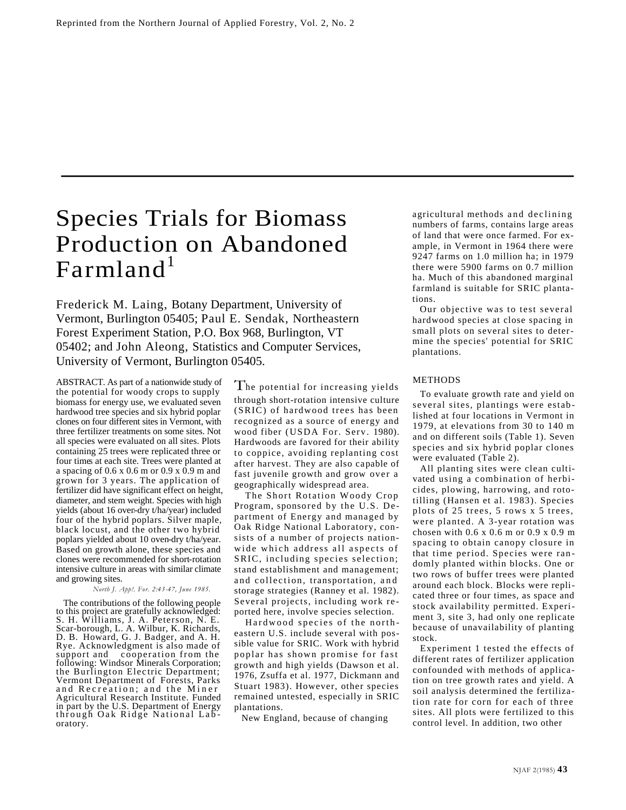# Species Trials for Biomass Production on Abandoned  $\text{Farmland}^1$

Frederick M. Laing, Botany Department, University of Vermont, Burlington 05405; Paul E. Sendak, Northeastern Forest Experiment Station, P.O. Box 968, Burlington, VT 05402; and John Aleong, Statistics and Computer Services, University of Vermont, Burlington 05405.

ABSTRACT. As part of a nationwide study of the potential for woody crops to supply biomass for energy use, we evaluated seven hardwood tree species and six hybrid poplar clones on four different sites in Vermont, with three fertilizer treatments on some sites. Not all species were evaluated on all sites. Plots containing 25 trees were replicated three or four times at each site. Trees were planted at a spacing of 0.6 x 0.6 m or 0.9 x 0.9 m and grown for 3 years. The application of fertilizer did have significant effect on height, diameter, and stem weight. Species with high yields (about 16 oven-dry t/ha/year) included four of the hybrid poplars. Silver maple, black locust, and the other two hybrid poplars yielded about 10 oven-dry t/ha/year. Based on growth alone, these species and clones were recommended for short-rotation intensive culture in areas with similar climate and growing sites.

## *North J. App!. For. 2:43-47, June 1985.*

The contributions of the following people to this project are gratefully acknowledged: S. H. Williams, J. A. Peterson, N. E. Scar-borough, L. A. Wilbur, K. Richards, D. B. Howard, G. J. Badger, and A. H. Rye. Acknowledgment is also made of support and cooperation from the following: Windsor Minerals Corporation; the Burlington Electric Department; Vermont Department of Forests, Parks and Recreation; and the Miner Agricultural Research Institute. Funded in part by the U.S. Department of Energy through Oak Ridge National Lab oratory.

The potential for increasing yields through short-rotation intensive culture (SRIC) of hardwood trees has been recognized as a source of energy and wood fiber (USDA For. Serv. 1980). Hardwoods are favored for their ability to coppice, avoiding replanting cost after harvest. They are also capable of fast juvenile growth and grow over a geographically widespread area.

The Short Rotation Woody Crop Program, sponsored by the U.S. De partment of Energy and managed by Oak Ridge National Laboratory, consists of a number of projects nationwide which address all aspects of SRIC, including species selection; stand establishment and management; and collection, transportation, and storage strategies (Ranney et al. 1982). Several projects, including work re ported here, involve species selection.

Hardwood species of the north eastern U.S. include several with possible value for SRIC. Work with hybrid poplar has shown promise for fast growth and high yields (Dawson et al. 1976, Zsuffa et al. 1977, Dickmann and Stuart 1983). However, other species remained untested, especially in SRIC plantations.

New England, because of changing

agricultural methods and declining numbers of farms, contains large areas of land that were once farmed. For example, in Vermont in 1964 there were 9247 farms on 1.0 million ha; in 1979 there were 5900 farms on 0.7 million ha. Much of this abandoned marginal farmland is suitable for SRIC plantations.

Our objective was to test several hardwood species at close spacing in small plots on several sites to determine the species' potential for SRIC plantations.

#### METHODS

To evaluate growth rate and yield on several sites, plantings were established at four locations in Vermont in 1979, at elevations from 30 to 140 m and on different soils (Table 1). Seven species and six hybrid poplar clones were evaluated (Table 2).

All planting sites were clean cultivated using a combination of herbicides, plowing, harrowing, and rototilling (Hansen et al. 1983). Species plots of 25 trees, 5 rows x 5 trees, were planted. A 3-year rotation was chosen with 0.6 x 0.6 m or 0.9 x 0.9 m spacing to obtain canopy closure in that time period. Species were ran domly planted within blocks. One or two rows of buffer trees were planted around each block. Blocks were replicated three or four times, as space and stock availability permitted. Experiment 3, site 3, had only one replicate because of unavailability of planting stock.

Experiment 1 tested the effects of different rates of fertilizer application confounded with methods of application on tree growth rates and yield. A soil analysis determined the fertilization rate for corn for each of three sites. All plots were fertilized to this control level. In addition, two other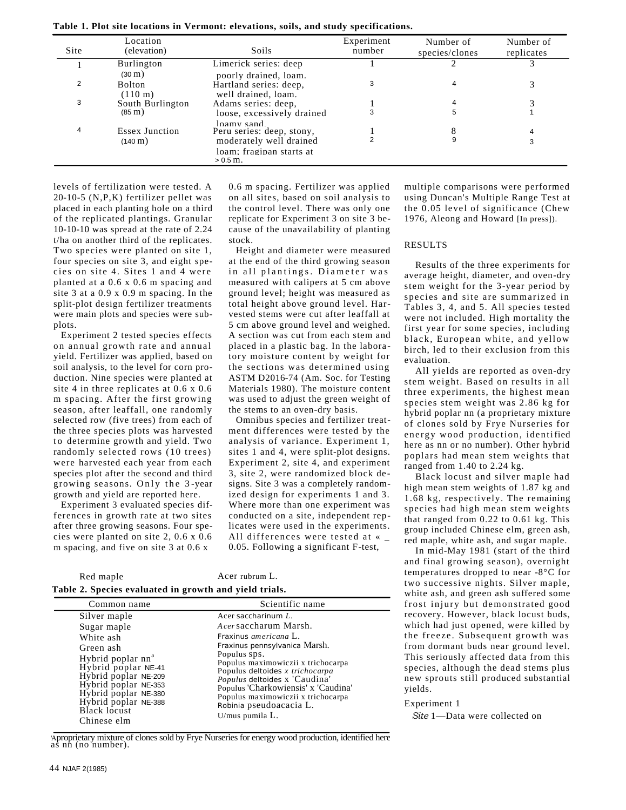**Table 1. Plot site locations in Vermont: elevations, soils, and study specifications.**

| Site           | Location<br>(elevation)              | Soils                                                                 | Experiment<br>number | Number of<br>species/clones | Number of<br>replicates |
|----------------|--------------------------------------|-----------------------------------------------------------------------|----------------------|-----------------------------|-------------------------|
|                | Burlington<br>$(30 \text{ m})$       | Limerick series: deep<br>poorly drained, loam.                        |                      |                             |                         |
| $\overline{2}$ | <b>Bolton</b><br>$(110 \text{ m})$   | Hartland series: deep,<br>well drained, loam.                         | 3                    | 4                           |                         |
| 3              | South Burlington<br>$(85 \text{ m})$ | Adams series: deep,                                                   | 3                    | 5                           |                         |
| 4              | <b>Essex Junction</b>                | loose, excessively drained<br>loamy sand<br>Peru series: deep, stony, |                      | 8                           | 4                       |
|                | $(140 \,\mathrm{m})$                 | moderately well drained                                               |                      | 9                           | 3                       |
|                |                                      | loam: fraginan starts at<br>$> 0.5$ m.                                |                      |                             |                         |

levels of fertilization were tested. A 20-10-5 (N,P,K) fertilizer pellet was placed in each planting hole on a third of the replicated plantings. Granular 10-10-10 was spread at the rate of 2.24 t/ha on another third of the replicates. Two species were planted on site 1, four species on site 3, and eight species on site 4. Sites 1 and 4 were planted at a 0.6 x 0.6 m spacing and site 3 at a 0.9 x 0.9 m spacing. In the split-plot design fertilizer treatments were main plots and species were subplots.

Experiment 2 tested species effects on annual growth rate and annual yield. Fertilizer was applied, based on soil analysis, to the level for corn production. Nine species were planted at site 4 in three replicates at 0.6 x 0.6 m spacing. After the first growing season, after leaffall, one randomly selected row (five trees) from each of the three species plots was harvested to determine growth and yield. Two randomly selected rows (10 trees) were harvested each year from each species plot after the second and third growing seasons. Only the 3 -year growth and yield are reported here.

Experiment 3 evaluated species differences in growth rate at two sites after three growing seasons. Four species were planted on site 2, 0.6 x 0.6 m spacing, and five on site 3 at 0.6 x

0.6 m spacing. Fertilizer was applied on all sites, based on soil analysis to the control level. There was only one replicate for Experiment 3 on site 3 because of the unavailability of planting stock.

Height and diameter were measured at the end of the third growing season in all plantings. Diameter was measured with calipers at 5 cm above ground level; height was measured as total height above ground level. Harvested stems were cut after leaffall at 5 cm above ground level and weighed. A section was cut from each stem and placed in a plastic bag. In the laboratory moisture content by weight for the sections was determined using ASTM D2016-74 (Am. Soc. for Testing Materials 1980). The moisture content was used to adjust the green weight of the stems to an oven-dry basis.

Omnibus species and fertilizer treatment differences were tested by the analysis of variance. Experiment 1, sites 1 and 4, were split-plot designs. Experiment 2, site 4, and experiment 3, site 2, were randomized block designs. Site 3 was a completely randomized design for experiments 1 and 3. Where more than one experiment was conducted on a site, independent replicates were used in the experiments. All differences were tested at « \_ 0.05. Following a significant F-test,

| Red maple | Acer rubrum L.                                         |
|-----------|--------------------------------------------------------|
|           | Table 2. Species evaluated in growth and yield trials. |

| Common name                   | Scientific name                      |
|-------------------------------|--------------------------------------|
| Silver maple                  | Acer saccharinum L.                  |
| Sugar maple                   | Acersaccharum Marsh.                 |
| White ash                     | Fraxinus <i>americana</i> L.         |
| Green ash                     | Fraxinus pennsylvanica Marsh.        |
| Hybrid poplar nn <sup>a</sup> | Populus sps.                         |
| Hybrid poplar NE-41           | Populus maximowiczii x trichocarpa   |
| Hybrid poplar NE-209          | Populus deltoides x trichocarpa      |
| Hybrid poplar NE-353          | <i>Populus</i> deltoides x 'Caudina' |
| Hybrid poplar NE-380          | Populus 'Charkowiensis' x 'Caudina'  |
| Hybrid poplar NE-388          | Populus maximowiczii x trichocarpa   |
| Black locust                  | Robinia pseudoacacia L.              |
| Chinese elm                   | $U/mus$ pumila $L.$                  |

'A proprietary mixture of clones sold by Frye Nurseries for energy wood production, identified here as nn (no number).

multiple comparisons were performed using Duncan's Multiple Range Test at the 0.05 level of significance (Chew 1976, Aleong and Howard [In press]).

#### RESULTS

Results of the three experiments for average height, diameter, and oven-dry stem weight for the 3-year period by species and site are summarized in Tables 3, 4, and 5. All species tested were not included. High mortality the first year for some species, including black, European white, and yellow birch, led to their exclusion from this evaluation.

All yields are reported as oven-dry stem weight. Based on results in all three experiments, the highest mean species stem weight was 2.86 kg for hybrid poplar nn (a proprietary mixture of clones sold by Frye Nurseries for energy wood production, identified here as nn or no number). Other hybrid poplars had mean stem weights that ranged from 1.40 to 2.24 kg.

Black locust and silver maple had high mean stem weights of 1.87 kg and 1.68 kg, respectively. The remaining species had high mean stem weights that ranged from 0.22 to 0.61 kg. This group included Chinese elm, green ash, red maple, white ash, and sugar maple.

In mid-May 1981 (start of the third and final growing season), overnight temperatures dropped to near -8°C for two successive nights. Silver maple, white ash, and green ash suffered some frost injury but demon strated good recovery. However, black locust buds, which had just opened, were killed by the freeze. Subsequent growth was from dormant buds near ground level. This seriously affected data from this species, although the dead stems plus new sprouts still produced substantial yields.

#### Experiment 1

*Site* 1—Data were collected on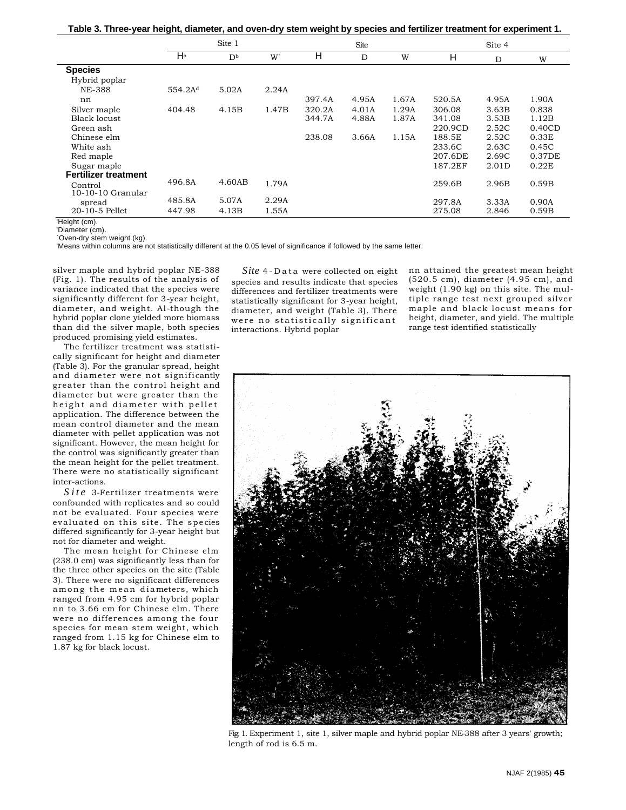|  |  |  | Table 3. Three-year height, diameter, and oven-dry stem weight by species and fertilizer treatment for experiment 1. |
|--|--|--|----------------------------------------------------------------------------------------------------------------------|
|  |  |  |                                                                                                                      |

|                                |                      | Site 1                    |                |        | <b>Site</b> |       |         | Site 4 |        |
|--------------------------------|----------------------|---------------------------|----------------|--------|-------------|-------|---------|--------|--------|
|                                | $\mathsf{H}^{\rm a}$ | $\mathbf{D}^{\mathrm{b}}$ | W <sup>-</sup> | н      | D           | W     | н       | D      | W      |
| <b>Species</b>                 |                      |                           |                |        |             |       |         |        |        |
| Hybrid poplar                  |                      |                           |                |        |             |       |         |        |        |
| NE-388                         | 554.2A <sup>d</sup>  | 5.02A                     | 2.24A          |        |             |       |         |        |        |
| nn                             |                      |                           |                | 397.4A | 4.95A       | 1.67A | 520.5A  | 4.95A  | 1.90A  |
| Silver maple                   | 404.48               | 4.15B                     | 1.47B          | 320.2A | 4.01A       | 1.29A | 306.08  | 3.63B  | 0.838  |
| <b>Black locust</b>            |                      |                           |                | 344.7A | 4.88A       | 1.87A | 341.08  | 3.53B  | 1.12B  |
| Green ash                      |                      |                           |                |        |             |       | 220.9CD | 2.52C  | 0.40CD |
| Chinese elm                    |                      |                           |                | 238.08 | 3.66A       | 1.15A | 188.5E  | 2.52C  | 0.33E  |
| White ash                      |                      |                           |                |        |             |       | 233.6C  | 2.63C  | 0.45C  |
| Red maple                      |                      |                           |                |        |             |       | 207.6DE | 2.69C  | 0.37DE |
| Sugar maple                    |                      |                           |                |        |             |       | 187.2EF | 2.01D  | 0.22E  |
| <b>Fertilizer treatment</b>    | 496.8A               | 4.60AB                    |                |        |             |       |         |        |        |
| Control<br>$10-10-10$ Granular |                      |                           | 1.79A          |        |             |       | 259.6B  | 2.96B  | 0.59B  |
| spread                         | 485.8A               | 5.07A                     | 2.29A          |        |             |       | 297.8A  | 3.33A  | 0.90A  |
| 20-10-5 Pellet                 | 447.98               | 4.13B                     | 1.55A          |        |             |       | 275.08  | 2.846  | 0.59B  |
| 'Height (cm).                  |                      |                           |                |        |             |       |         |        |        |

'Diameter (cm).

`Oven-dry stem weight (kg).

'Means within columns are not statistically different at the 0.05 level of significance if followed by the same letter.

silver maple and hybrid poplar NE-388 (Fig. 1). The results of the analysis of variance indicated that the species were significantly different for 3-year height, diameter, and weight. Al -though the hybrid poplar clone yielded more biomass than did the silver maple, both species produced promising yield estimates.

The fertilizer treatment was statistically significant for height and diameter (Table 3). For the granular spread, height and diameter were not significantly greater than the control height and diameter but were greater than the height and diameter with pellet application. The difference between the mean control diameter and the mean diameter with pellet application was not significant. However, the mean height for the control was significantly greater than the mean height for the pellet treatment. There were no statistically significant inter-actions.

*Site* 3-Fertilizer treatments were confounded with replicates and so could not be evaluated. Four species were evaluated on this site. The spe cies differed significantly for 3-year height but not for diameter and weight.

The mean height for Chinese elm (238.0 cm) was significantly less than for the three other species on the site (Table 3). There were no significant differences among the mean diameters, which ranged from 4.95 cm for hybrid poplar nn to 3.66 cm for Chinese elm. There were no differences among the four species for mean stem weight, which ranged from 1.15 kg for Chinese elm to 1.87 kg for black locust.

*Site* 4 - Data were collected on eight species and results indicate that species differences and fertilizer treatments were statistically significant for 3-year height, diameter, and weight (Table 3). There were no statistically significant interactions. Hybrid poplar

nn attained the greatest mean height (520.5 cm), diameter (4.95 cm), and weight (1.90 kg) on this site. The multiple range test next grouped silver maple and black locust means for height, diameter, and yield. The multiple range test identified statistically



Fig. 1. Experiment 1, site 1, silver maple and hybrid poplar NE-388 after 3 years' growth; length of rod is 6.5 m.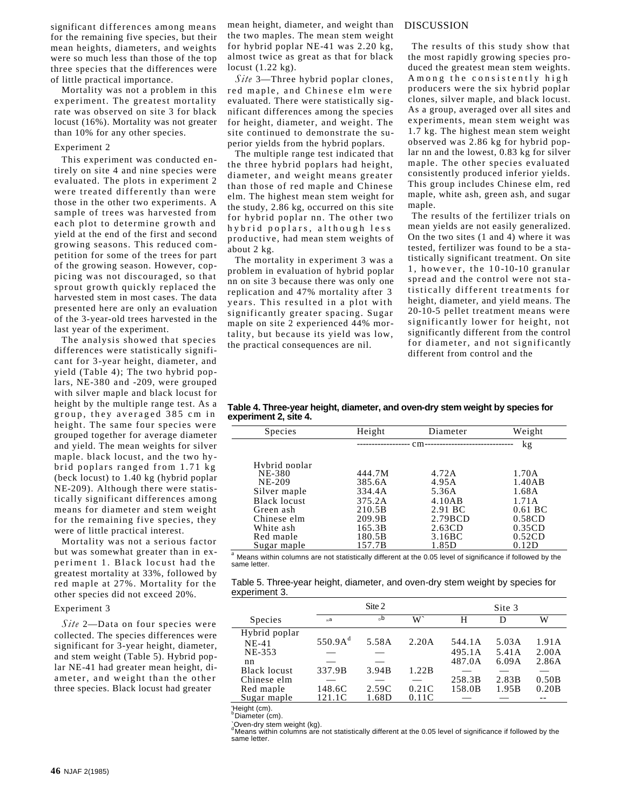significant differences among means for the remaining five species, but their mean heights, diameters, and weights were so much less than those of the top three species that the differences were of little practical importance.

Mortality was not a problem in this experiment. The greatest mortality rate was observed on site 3 for black locust (16%). Mortality was not greater than 10% for any other species.

#### Experiment 2

This experiment was conducted entirely on site 4 and nine species were evaluated. The plots in experiment 2 were treated differently than were those in the other two experiments. A sample of trees was harvested from each plot to determine growth and yield at the end of the first and second growing seasons. This reduced competition for some of the trees for part of the growing season. However, coppicing was not discouraged, so that sprout growth quickly replaced the harvested stem in most cases. The data presented here are only an evaluation of the 3-year-old trees harvested in the last year of the experiment.

The analysis showed that species differences were statistically significant for 3-year height, diameter, and yield (Table 4); The two hybrid poplars, NE-380 and -209, were grouped with silver maple and black locust for height by the multiple range test. As a group, they averaged 385 cm in height. The same four species were grouped together for average diameter and yield. The mean weights for silver maple. black locust, and the two hybrid poplars ranged from 1.71 kg (beck locust) to 1.40 kg (hybrid poplar NE-209). Although there were statistically significant differences among means for diameter and stem weight for the remaining five species, they were of little practical interest.

Mortality was not a serious factor but was somewhat greater than in experiment 1. Black locust had the greatest mortality at 33%, followed by red maple at 27%. Mortality for the other species did not exceed 20%.

### Experiment 3

*Site* 2—Data on four species were collected. The species differences were significant for 3-year height, diameter, and stem weight (Table 5). Hybrid poplar NE-41 had greater mean height, diameter, and weight than the other three species. Black locust had greater

mean height, diameter, and weight than the two maples. The mean stem weight for hybrid poplar NE-41 was 2.20 kg, almost twice as great as that for black locust (1.22 kg).

*Site* 3—Three hybrid poplar clones, red maple, and Chinese elm were evaluated. There were statistically significant differences among the species for height, diameter, and weight. The site continued to demonstrate the superior yields from the hybrid poplars.

The multiple range test indicated that the three hybrid poplars had height, diameter, and weight means greater than those of red maple and Chinese elm. The highest mean stem weight for the study, 2.86 kg, occurred on this site for hybrid poplar nn. The other two hybrid poplars, although less productive, had mean stem weights of about 2 kg.

The mortality in experiment 3 was a problem in evaluation of hybrid poplar nn on site 3 because there was only one replication and 47% mortality after 3 years. This resulted in a plot with significantly greater spacing. Sugar maple on site 2 experienced 44% mortality, but because its yield was low, the practical consequences are nil.

#### DISCUSSION

The results of this study show that the most rapidly growing species produced the greatest mean stem weights. Among the consistently high producers were the six hybrid poplar clones, silver maple, and black locust. As a group, averaged over all sites and experiments, mean stem weight was 1.7 kg. The highest mean stem weight observed was 2.86 kg for hybrid poplar nn and the lowest, 0.83 kg for silver maple. The other species evaluated consistently produced inferior yields. This group includes Chinese elm, red maple, white ash, green ash, and sugar maple.

The results of the fertilizer trials on mean yields are not easily generalized. On the two sites (1 and 4) where it was tested, fertilizer was found to be a statistically significant treatment. On site 1, however, the 10 -10-10 granular spread and the control were not sta tistically different treatments for height, diameter, and yield means. The 20-10-5 pellet treatment means were significantly lower for height, not significantly different from the control for diameter, and not significantly different from control and the

**Table 4. Three-year height, diameter, and oven-dry stem weight by species for experiment 2, site 4.**

| Species       | Height | Diameter | Weight    |
|---------------|--------|----------|-----------|
|               |        | $cm-$    | kg        |
|               |        |          |           |
| Hybrid poplar |        |          |           |
| <b>NE-380</b> | 444.7M | 4.72A    | 1.70A     |
| <b>NE-209</b> | 385.6A | 4.95A    | 1.40AB    |
| Silver maple  | 334.4A | 5.36A    | 1.68A     |
| Black locust  | 375.2A | 4.10AB   | 1.71A     |
| Green ash     | 210.5B | 2.91 BC  | $0.61$ BC |
| Chinese elm   | 209.9B | 2.79BCD  | 0.58CD    |
| White ash     | 165.3B | 2.63CD   | 0.35CD    |
| Red maple     | 180.5B | 3.16BC   | 0.52CD    |
| Sugar maple   | 157.7B | 1.85D    | 0.12D     |
|               |        |          |           |

 $^{\text{a}}$  Means within columns are not statistically different at the 0.05 level of significance if followed by the same letter.

Table 5. Three-year height, diameter, and oven-dry stem weight by species for experiment 3.

|                     | Site 2      |                 |       | Site 3 |       |       |
|---------------------|-------------|-----------------|-------|--------|-------|-------|
| Species             | на          | $_{\text{D}}$ b | W`    | н      | D     | W     |
| Hybrid poplar       |             |                 |       |        |       |       |
| $NE-41$             | 550.9 $A^d$ | 5.58A           | 2.20A | 544.1A | 5.03A | 1.91A |
| NE-353              |             |                 |       | 495.1A | 5.41A | 2.00A |
| nn                  |             |                 |       | 487.0A | 6.09A | 2.86A |
| <b>Black locust</b> | 337.9B      | 3.94B           | 1.22B |        |       |       |
| Chinese elm         |             |                 |       | 258.3B | 2.83B | 0.50B |
| Red maple           | 148.6C      | 2.59C           | 0.21C | 158.0B | 1.95B | 0.20B |
| Sugar maple         | 121.1C      | 1.68D           | 0.11C |        |       |       |

'Height (cm).

 $<sup>b</sup>$ Diameter (cm).</sup>

`Oven-dry stem weight (kg).<br>`Oven-dry stem weight (kg).<br><sup>d</sup>Means within columns are not statistically different at the 0.05 level of significance if followed by the same letter.